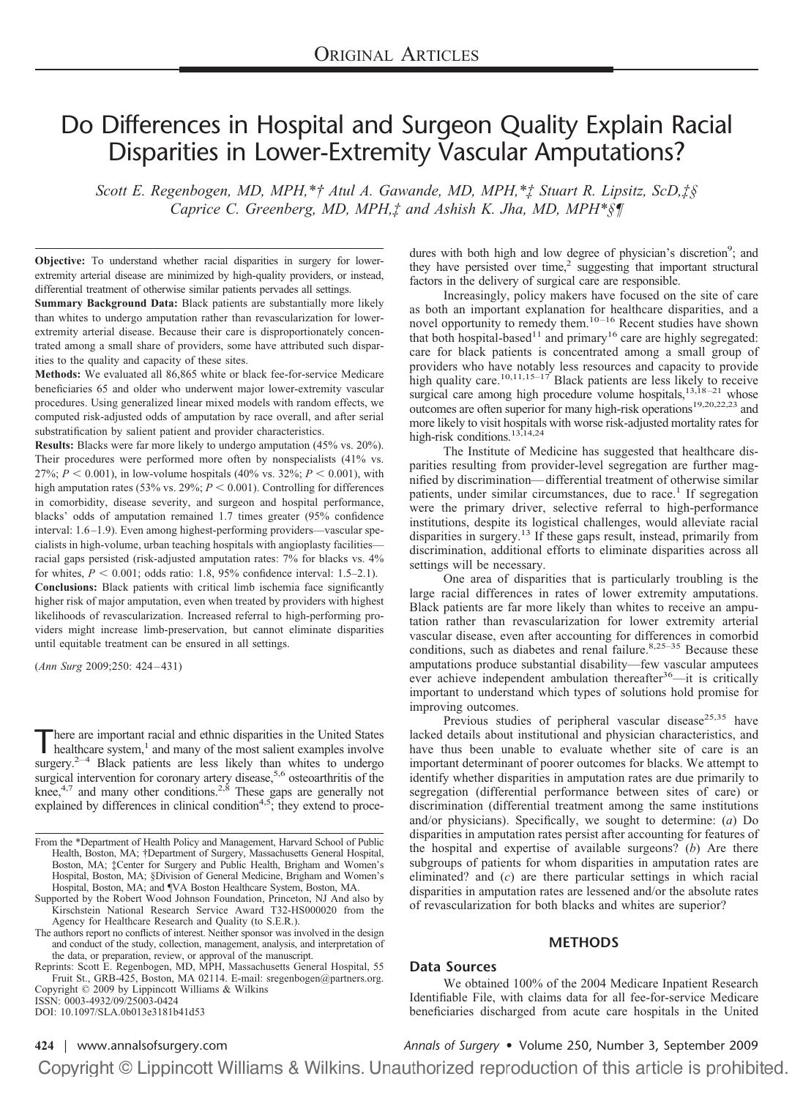# Do Differences in Hospital and Surgeon Quality Explain Racial Disparities in Lower-Extremity Vascular Amputations?

*Scott E. Regenbogen, MD, MPH,\*† Atul A. Gawande, MD, MPH,\*‡ Stuart R. Lipsitz, ScD,‡§ Caprice C. Greenberg, MD, MPH,‡ and Ashish K. Jha, MD, MPH\*§¶*

**Objective:** To understand whether racial disparities in surgery for lowerextremity arterial disease are minimized by high-quality providers, or instead, differential treatment of otherwise similar patients pervades all settings.

**Summary Background Data:** Black patients are substantially more likely than whites to undergo amputation rather than revascularization for lowerextremity arterial disease. Because their care is disproportionately concentrated among a small share of providers, some have attributed such disparities to the quality and capacity of these sites.

**Methods:** We evaluated all 86,865 white or black fee-for-service Medicare beneficiaries 65 and older who underwent major lower-extremity vascular procedures. Using generalized linear mixed models with random effects, we computed risk-adjusted odds of amputation by race overall, and after serial substratification by salient patient and provider characteristics.

**Results:** Blacks were far more likely to undergo amputation (45% vs. 20%). Their procedures were performed more often by nonspecialists (41% vs. 27%;  $P < 0.001$ ), in low-volume hospitals (40% vs. 32%;  $P < 0.001$ ), with high amputation rates (53% vs. 29%;  $P < 0.001$ ). Controlling for differences in comorbidity, disease severity, and surgeon and hospital performance, blacks' odds of amputation remained 1.7 times greater (95% confidence interval: 1.6–1.9). Even among highest-performing providers—vascular specialists in high-volume, urban teaching hospitals with angioplasty facilities racial gaps persisted (risk-adjusted amputation rates: 7% for blacks vs. 4% for whites,  $P < 0.001$ ; odds ratio: 1.8, 95% confidence interval: 1.5–2.1). **Conclusions:** Black patients with critical limb ischemia face significantly higher risk of major amputation, even when treated by providers with highest likelihoods of revascularization. Increased referral to high-performing providers might increase limb-preservation, but cannot eliminate disparities until equitable treatment can be ensured in all settings.

(*Ann Surg* 2009;250: 424 – 431)

There are important racial and ethnic disparities in the United States healthcare system,<sup>1</sup> and many of the most salient examples involve surgery. $2-4$  Black patients are less likely than whites to undergo surgical intervention for coronary artery disease,<sup>5,6</sup> osteoarthritis of the knee,<sup>4,7</sup> and many other conditions.<sup>2,8</sup> These gaps are generally not explained by differences in clinical condition<sup>4,5</sup>; they extend to proce-

Supported by the Robert Wood Johnson Foundation, Princeton, NJ And also by Kirschstein National Research Service Award T32-HS000020 from the Agency for Healthcare Research and Quality (to S.E.R.).

The authors report no conflicts of interest. Neither sponsor was involved in the design and conduct of the study, collection, management, analysis, and interpretation of the data, or preparation, review, or approval of the manuscript.

Reprints: Scott E. Regenbogen, MD, MPH, Massachusetts General Hospital, 55 Fruit St., GRB-425, Boston, MA 02114. E-mail: sregenbogen@partners.org. Copyright © 2009 by Lippincott Williams & Wilkins ISSN: 0003-4932/09/25003-0424

DOI: 10.1097/SLA.0b013e3181b41d53

dures with both high and low degree of physician's discretion<sup>9</sup>; and they have persisted over time, $2$  suggesting that important structural factors in the delivery of surgical care are responsible.

Increasingly, policy makers have focused on the site of care as both an important explanation for healthcare disparities, and a novel opportunity to remedy them.<sup>10-16</sup> Recent studies have shown that both hospital-based<sup>11</sup> and primary<sup>16</sup> care are highly segregated: care for black patients is concentrated among a small group of providers who have notably less resources and capacity to provide high quality care.<sup>10,11,15–17</sup> Black patients are less likely to receive surgical care among high procedure volume hospitals, $13,18-21$  whose outcomes are often superior for many high-risk operations19,20,22,23 and more likely to visit hospitals with worse risk-adjusted mortality rates for high-risk conditions.<sup>13,14,24</sup>

The Institute of Medicine has suggested that healthcare disparities resulting from provider-level segregation are further magnified by discrimination— differential treatment of otherwise similar patients, under similar circumstances, due to race.<sup>1</sup> If segregation were the primary driver, selective referral to high-performance institutions, despite its logistical challenges, would alleviate racial disparities in surgery.13 If these gaps result, instead, primarily from discrimination, additional efforts to eliminate disparities across all settings will be necessary.

One area of disparities that is particularly troubling is the large racial differences in rates of lower extremity amputations. Black patients are far more likely than whites to receive an amputation rather than revascularization for lower extremity arterial vascular disease, even after accounting for differences in comorbid conditions, such as diabetes and renal failure.<sup>8,25–35</sup> Because these amputations produce substantial disability—few vascular amputees ever achieve independent ambulation thereafter<sup>36</sup>—it is critically important to understand which types of solutions hold promise for improving outcomes.

Previous studies of peripheral vascular disease<sup>25,35</sup> have lacked details about institutional and physician characteristics, and have thus been unable to evaluate whether site of care is an important determinant of poorer outcomes for blacks. We attempt to identify whether disparities in amputation rates are due primarily to segregation (differential performance between sites of care) or discrimination (differential treatment among the same institutions and/or physicians). Specifically, we sought to determine: (*a*) Do disparities in amputation rates persist after accounting for features of the hospital and expertise of available surgeons? (*b*) Are there subgroups of patients for whom disparities in amputation rates are eliminated? and (*c*) are there particular settings in which racial disparities in amputation rates are lessened and/or the absolute rates of revascularization for both blacks and whites are superior?

#### **METHODS**

#### **Data Sources**

We obtained 100% of the 2004 Medicare Inpatient Research Identifiable File, with claims data for all fee-for-service Medicare beneficiaries discharged from acute care hospitals in the United

**424** | [www.annalsofsurgery.com](http://www.annalsofsurgery.com) *Annals of Surgery* • Volume 250, Number 3, September 2009Copyright © Lippincott Williams & Wilkins. Unauthorized reproduction of this article is prohibited.

From the \*Department of Health Policy and Management, Harvard School of Public Health, Boston, MA; †Department of Surgery, Massachusetts General Hospital, Boston, MA; ‡Center for Surgery and Public Health, Brigham and Women's Hospital, Boston, MA; §Division of General Medicine, Brigham and Women's Hospital, Boston, MA; and ¶VA Boston Healthcare System, Boston, MA.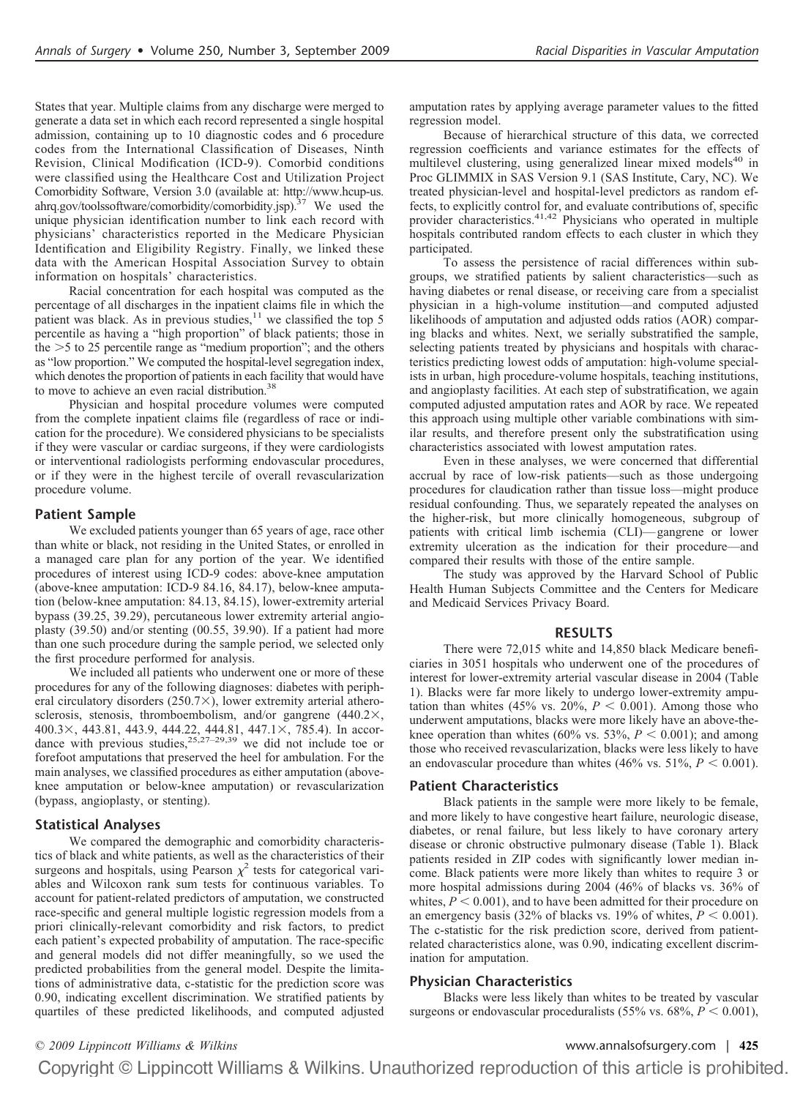States that year. Multiple claims from any discharge were merged to generate a data set in which each record represented a single hospital admission, containing up to 10 diagnostic codes and 6 procedure codes from the International Classification of Diseases, Ninth Revision, Clinical Modification (ICD-9). Comorbid conditions were classified using the Healthcare Cost and Utilization Project Comorbidity Software, Version 3.0 (available at: http://www.hcup-us. ahrq.gov/toolssoftware/comorbidity/comorbidity.jsp).37 We used the unique physician identification number to link each record with physicians' characteristics reported in the Medicare Physician Identification and Eligibility Registry. Finally, we linked these data with the American Hospital Association Survey to obtain information on hospitals' characteristics.

Racial concentration for each hospital was computed as the percentage of all discharges in the inpatient claims file in which the patient was black. As in previous studies, $11$  we classified the top 5 percentile as having a "high proportion" of black patients; those in the  $>5$  to 25 percentile range as "medium proportion"; and the others as "low proportion." We computed the hospital-level segregation index, which denotes the proportion of patients in each facility that would have to move to achieve an even racial distribution.<sup>38</sup>

Physician and hospital procedure volumes were computed from the complete inpatient claims file (regardless of race or indication for the procedure). We considered physicians to be specialists if they were vascular or cardiac surgeons, if they were cardiologists or interventional radiologists performing endovascular procedures, or if they were in the highest tercile of overall revascularization procedure volume.

#### **Patient Sample**

We excluded patients younger than 65 years of age, race other than white or black, not residing in the United States, or enrolled in a managed care plan for any portion of the year. We identified procedures of interest using ICD-9 codes: above-knee amputation (above-knee amputation: ICD-9 84.16, 84.17), below-knee amputation (below-knee amputation: 84.13, 84.15), lower-extremity arterial bypass (39.25, 39.29), percutaneous lower extremity arterial angioplasty (39.50) and/or stenting (00.55, 39.90). If a patient had more than one such procedure during the sample period, we selected only the first procedure performed for analysis.

We included all patients who underwent one or more of these procedures for any of the following diagnoses: diabetes with peripheral circulatory disorders  $(250.7\times)$ , lower extremity arterial atherosclerosis, stenosis, thromboembolism, and/or gangrene  $(440.2 \times,$ 400.3 \times, 443.81, 443.9, 444.22, 444.81, 447.1 \times, 785.4). In accor-<br>dance with previous studies,  $25,27-29,39$  we did not include toe or forefoot amputations that preserved the heel for ambulation. For the main analyses, we classified procedures as either amputation (aboveknee amputation or below-knee amputation) or revascularization (bypass, angioplasty, or stenting).

### **Statistical Analyses**

We compared the demographic and comorbidity characteristics of black and white patients, as well as the characteristics of their surgeons and hospitals, using Pearson  $\chi^2$  tests for categorical variables and Wilcoxon rank sum tests for continuous variables. To account for patient-related predictors of amputation, we constructed race-specific and general multiple logistic regression models from a priori clinically-relevant comorbidity and risk factors, to predict each patient's expected probability of amputation. The race-specific and general models did not differ meaningfully, so we used the predicted probabilities from the general model. Despite the limitations of administrative data, c-statistic for the prediction score was 0.90, indicating excellent discrimination. We stratified patients by quartiles of these predicted likelihoods, and computed adjusted amputation rates by applying average parameter values to the fitted regression model.

Because of hierarchical structure of this data, we corrected regression coefficients and variance estimates for the effects of multilevel clustering, using generalized linear mixed models<sup>40</sup> in Proc GLIMMIX in SAS Version 9.1 (SAS Institute, Cary, NC). We treated physician-level and hospital-level predictors as random effects, to explicitly control for, and evaluate contributions of, specific provider characteristics.41,42 Physicians who operated in multiple hospitals contributed random effects to each cluster in which they participated.

To assess the persistence of racial differences within subgroups, we stratified patients by salient characteristics—such as having diabetes or renal disease, or receiving care from a specialist physician in a high-volume institution—and computed adjusted likelihoods of amputation and adjusted odds ratios (AOR) comparing blacks and whites. Next, we serially substratified the sample, selecting patients treated by physicians and hospitals with characteristics predicting lowest odds of amputation: high-volume specialists in urban, high procedure-volume hospitals, teaching institutions, and angioplasty facilities. At each step of substratification, we again computed adjusted amputation rates and AOR by race. We repeated this approach using multiple other variable combinations with similar results, and therefore present only the substratification using characteristics associated with lowest amputation rates.

Even in these analyses, we were concerned that differential accrual by race of low-risk patients—such as those undergoing procedures for claudication rather than tissue loss—might produce residual confounding. Thus, we separately repeated the analyses on the higher-risk, but more clinically homogeneous, subgroup of patients with critical limb ischemia (CLI)— gangrene or lower extremity ulceration as the indication for their procedure—and compared their results with those of the entire sample.

The study was approved by the Harvard School of Public Health Human Subjects Committee and the Centers for Medicare and Medicaid Services Privacy Board.

#### **RESULTS**

There were 72,015 white and 14,850 black Medicare beneficiaries in 3051 hospitals who underwent one of the procedures of interest for lower-extremity arterial vascular disease in 2004 (Table 1). Blacks were far more likely to undergo lower-extremity amputation than whites (45% vs. 20%,  $P < 0.001$ ). Among those who underwent amputations, blacks were more likely have an above-theknee operation than whites (60% vs. 53%,  $P < 0.001$ ); and among those who received revascularization, blacks were less likely to have an endovascular procedure than whites  $(46\% \text{ vs. } 51\%, P < 0.001)$ .

#### **Patient Characteristics**

Black patients in the sample were more likely to be female, and more likely to have congestive heart failure, neurologic disease, diabetes, or renal failure, but less likely to have coronary artery disease or chronic obstructive pulmonary disease (Table 1). Black patients resided in ZIP codes with significantly lower median income. Black patients were more likely than whites to require 3 or more hospital admissions during 2004 (46% of blacks vs. 36% of whites,  $P \leq 0.001$ ), and to have been admitted for their procedure on an emergency basis (32% of blacks vs. 19% of whites,  $P < 0.001$ ). The c-statistic for the risk prediction score, derived from patientrelated characteristics alone, was 0.90, indicating excellent discrimination for amputation.

#### **Physician Characteristics**

Blacks were less likely than whites to be treated by vascular surgeons or endovascular proceduralists (55% vs.  $68\%, P \leq 0.001$ ),

## *© 2009 Lippincott Williams & Wilkins* [www.annalsofsurgery.com](http://www.annalsofsurgery.com) | **425**Copyright © Lippincott Williams & Wilkins. Unauthorized reproduction of this article is prohibited.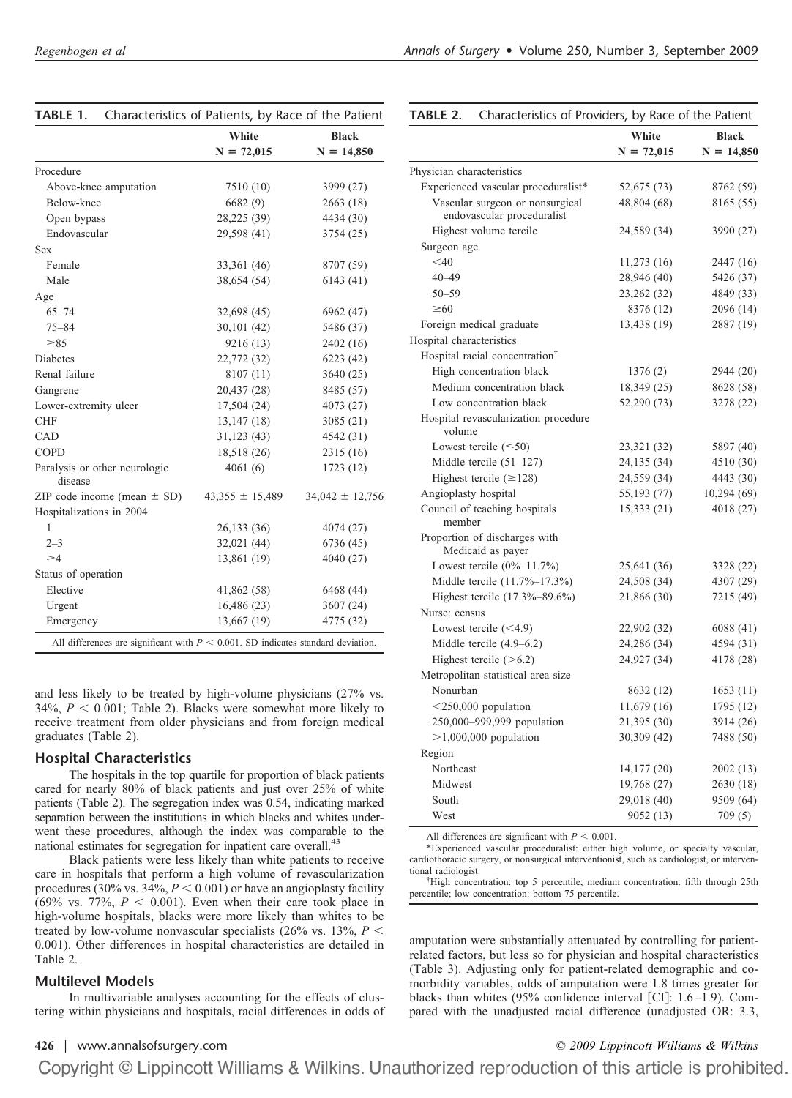| Annals of Surgery • Volume 250, Number 3, September 2009 |  |  |  |  |  |  |  |  |  |
|----------------------------------------------------------|--|--|--|--|--|--|--|--|--|
|----------------------------------------------------------|--|--|--|--|--|--|--|--|--|

**TABLE 2.** Characteristics of Providers, by Race of the Patient

| <b>TABLE 1.</b> Characteristics of Patients, by Race of the Patient |  |  |  |
|---------------------------------------------------------------------|--|--|--|
|                                                                     |  |  |  |

|                                                                                        | White               | <b>Black</b>        |  |  |
|----------------------------------------------------------------------------------------|---------------------|---------------------|--|--|
|                                                                                        | $N = 72,015$        | $N = 14,850$        |  |  |
| Procedure                                                                              |                     |                     |  |  |
| Above-knee amputation                                                                  | 7510 (10)           | 3999 (27)           |  |  |
| Below-knee                                                                             | 6682 (9)            | 2663 (18)           |  |  |
| Open bypass                                                                            | 28,225 (39)         | 4434 (30)           |  |  |
| Endovascular                                                                           | 29,598 (41)         | 3754 (25)           |  |  |
| <b>Sex</b>                                                                             |                     |                     |  |  |
| Female                                                                                 | 33,361 (46)         | 8707 (59)           |  |  |
| Male                                                                                   | 38,654 (54)         | 6143(41)            |  |  |
| Age                                                                                    |                     |                     |  |  |
| $65 - 74$                                                                              | 32,698 (45)         | 6962 (47)           |  |  |
| $75 - 84$                                                                              | 30,101(42)          | 5486 (37)           |  |  |
| $\geq 85$                                                                              | 9216 (13)           | 2402 (16)           |  |  |
| <b>Diabetes</b>                                                                        | 22,772 (32)         | 6223 (42)           |  |  |
| Renal failure                                                                          | 8107 (11)           | 3640 (25)           |  |  |
| Gangrene                                                                               | 20,437 (28)         | 8485 (57)           |  |  |
| Lower-extremity ulcer                                                                  | 17,504 (24)         | 4073 (27)           |  |  |
| <b>CHF</b>                                                                             | 13,147 (18)         | 3085(21)            |  |  |
| CAD                                                                                    | 31,123(43)          | 4542 (31)           |  |  |
| <b>COPD</b>                                                                            | 18,518(26)          | 2315(16)            |  |  |
| Paralysis or other neurologic<br>disease                                               | 4061(6)             | 1723 (12)           |  |  |
| ZIP code income (mean $\pm$ SD)                                                        | $43,355 \pm 15,489$ | $34,042 \pm 12,756$ |  |  |
| Hospitalizations in 2004                                                               |                     |                     |  |  |
| 1                                                                                      | 26,133 (36)         | 4074 (27)           |  |  |
| $2 - 3$                                                                                | 32,021(44)          | 6736 (45)           |  |  |
| $\geq 4$                                                                               | 13,861 (19)         | 4040 (27)           |  |  |
| Status of operation                                                                    |                     |                     |  |  |
| Elective                                                                               | 41,862 (58)         | 6468 (44)           |  |  |
| Urgent                                                                                 | 16,486(23)          | 3607 (24)           |  |  |
| Emergency                                                                              | 13,667 (19)         | 4775 (32)           |  |  |
| All differences are significant with $P \leq 0.001$ . SD indicates standard deviation. |                     |                     |  |  |

and less likely to be treated by high-volume physicians (27% vs. 34%,  $P < 0.001$ ; Table 2). Blacks were somewhat more likely to receive treatment from older physicians and from foreign medical graduates (Table 2).

#### **Hospital Characteristics**

The hospitals in the top quartile for proportion of black patients cared for nearly 80% of black patients and just over 25% of white patients (Table 2). The segregation index was 0.54, indicating marked separation between the institutions in which blacks and whites underwent these procedures, although the index was comparable to the national estimates for segregation for inpatient care overall.<sup>43</sup>

Black patients were less likely than white patients to receive care in hospitals that perform a high volume of revascularization procedures (30% vs. 34%,  $P < 0.001$ ) or have an angioplasty facility (69% vs. 77%,  $P < 0.001$ ). Even when their care took place in high-volume hospitals, blacks were more likely than whites to be treated by low-volume nonvascular specialists  $(26\% \text{ vs. } 13\%, P \leq \mathbb{Z})$ 0.001). Other differences in hospital characteristics are detailed in Table 2.

### **Multilevel Models**

In multivariable analyses accounting for the effects of clustering within physicians and hospitals, racial differences in odds of

| White<br>$N = 72,015$<br>52,675 (73)<br>48,804 (68)<br>24,589 (34)<br>11,273 (16)<br>28,946 (40)<br>23,262 (32)<br>8376 (12)<br>13,438 (19)<br>1376(2)<br>18,349 (25)<br>52,290 (73) | <b>Black</b><br>$N = 14,850$<br>8762 (59)<br>8165 (55)<br>3990 (27)<br>2447 (16)<br>5426 (37)<br>4849 (33)<br>2096 (14)<br>2887 (19)<br>2944 (20)<br>8628 (58) |
|--------------------------------------------------------------------------------------------------------------------------------------------------------------------------------------|----------------------------------------------------------------------------------------------------------------------------------------------------------------|
|                                                                                                                                                                                      |                                                                                                                                                                |
|                                                                                                                                                                                      |                                                                                                                                                                |
|                                                                                                                                                                                      |                                                                                                                                                                |
|                                                                                                                                                                                      |                                                                                                                                                                |
|                                                                                                                                                                                      |                                                                                                                                                                |
|                                                                                                                                                                                      |                                                                                                                                                                |
|                                                                                                                                                                                      |                                                                                                                                                                |
|                                                                                                                                                                                      |                                                                                                                                                                |
|                                                                                                                                                                                      |                                                                                                                                                                |
|                                                                                                                                                                                      |                                                                                                                                                                |
|                                                                                                                                                                                      |                                                                                                                                                                |
|                                                                                                                                                                                      |                                                                                                                                                                |
|                                                                                                                                                                                      |                                                                                                                                                                |
|                                                                                                                                                                                      |                                                                                                                                                                |
|                                                                                                                                                                                      |                                                                                                                                                                |
|                                                                                                                                                                                      |                                                                                                                                                                |
|                                                                                                                                                                                      | 3278 (22)                                                                                                                                                      |
|                                                                                                                                                                                      |                                                                                                                                                                |
| 23,321 (32)                                                                                                                                                                          | 5897 (40)                                                                                                                                                      |
| 24,135 (34)                                                                                                                                                                          | 4510 (30)                                                                                                                                                      |
| 24,559 (34)                                                                                                                                                                          | 4443 (30)                                                                                                                                                      |
| 55,193 (77)                                                                                                                                                                          | 10,294 (69)                                                                                                                                                    |
| 15,333(21)                                                                                                                                                                           | 4018 (27)                                                                                                                                                      |
|                                                                                                                                                                                      |                                                                                                                                                                |
| 25,641 (36)                                                                                                                                                                          | 3328 (22)                                                                                                                                                      |
| 24,508 (34)                                                                                                                                                                          | 4307 (29)                                                                                                                                                      |
| 21,866 (30)                                                                                                                                                                          | 7215 (49)                                                                                                                                                      |
|                                                                                                                                                                                      |                                                                                                                                                                |
| 22,902 (32)                                                                                                                                                                          | 6088 (41)                                                                                                                                                      |
| 24,286 (34)                                                                                                                                                                          | 4594 (31)                                                                                                                                                      |
| 24,927 (34)                                                                                                                                                                          | 4178 (28)                                                                                                                                                      |
|                                                                                                                                                                                      |                                                                                                                                                                |
| 8632 (12)                                                                                                                                                                            | 1653 (11)                                                                                                                                                      |
| 11,679 (16)                                                                                                                                                                          | 1795 (12)                                                                                                                                                      |
| 21,395 (30)                                                                                                                                                                          | 3914 (26)                                                                                                                                                      |
| 30,309 (42)                                                                                                                                                                          | 7488 (50)                                                                                                                                                      |
|                                                                                                                                                                                      |                                                                                                                                                                |
| 14,177 (20)                                                                                                                                                                          | 2002 (13)                                                                                                                                                      |
| 19,768 (27)                                                                                                                                                                          | 2630 (18)                                                                                                                                                      |
| 29,018 (40)                                                                                                                                                                          | 9509 (64)                                                                                                                                                      |
| 9052 (13)                                                                                                                                                                            | 709 (5)                                                                                                                                                        |
|                                                                                                                                                                                      |                                                                                                                                                                |

All differences are significant with  $P < 0.001$ .

\*Experienced vascular proceduralist: either high volume, or specialty vascular, cardiothoracic surgery, or nonsurgical interventionist, such as cardiologist, or interventional radiologist.

<sup>†</sup>High concentration: top 5 percentile; medium concentration: fifth through 25th percentile; low concentration: bottom 75 percentile.

amputation were substantially attenuated by controlling for patientrelated factors, but less so for physician and hospital characteristics (Table 3). Adjusting only for patient-related demographic and comorbidity variables, odds of amputation were 1.8 times greater for blacks than whites (95% confidence interval  $\lbrack$ CI $\rbrack$ : 1.6–1.9). Compared with the unadjusted racial difference (unadjusted OR: 3.3,

**426** | [www.annalsofsurgery.com](http://www.annalsofsurgery.com) *© 2009 Lippincott Williams & Wilkins*

Copyright © Lippincott Williams & Wilkins. Unauthorized reproduction of this article is prohibited.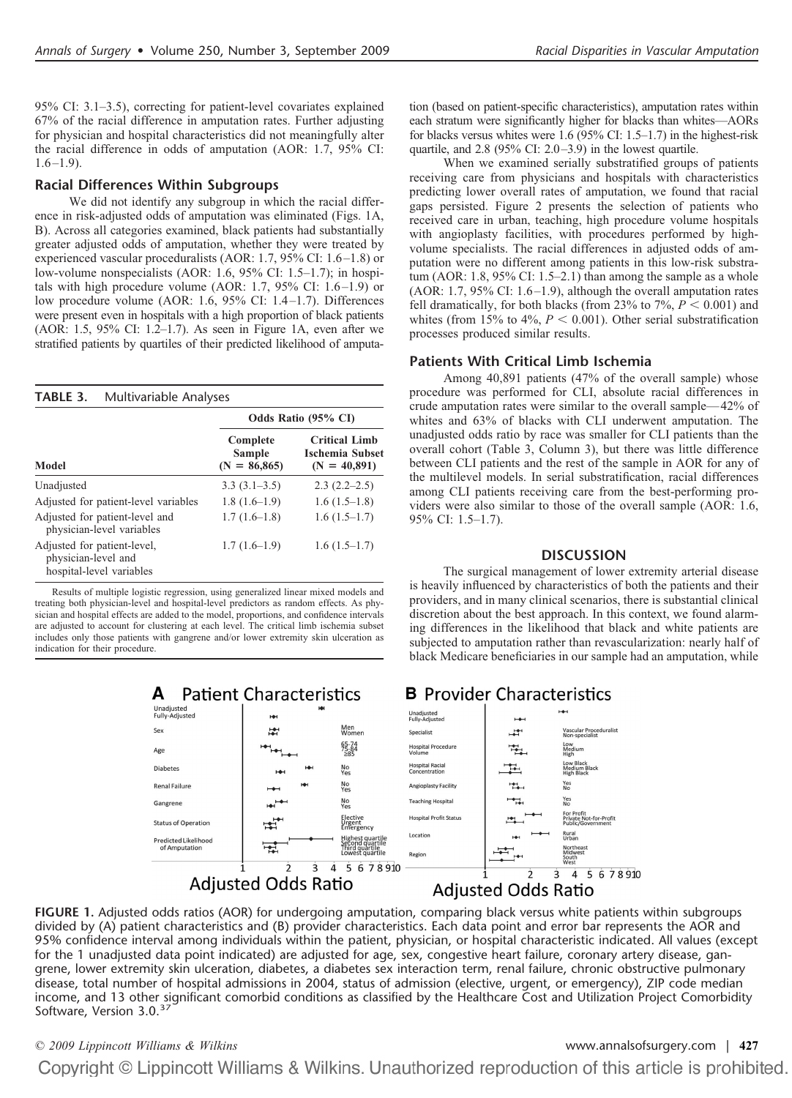95% CI: 3.1–3.5), correcting for patient-level covariates explained 67% of the racial difference in amputation rates. Further adjusting for physician and hospital characteristics did not meaningfully alter the racial difference in odds of amputation (AOR: 1.7, 95% CI:  $1.6 - 1.9$ .

#### **Racial Differences Within Subgroups**

We did not identify any subgroup in which the racial difference in risk-adjusted odds of amputation was eliminated (Figs. 1A, B). Across all categories examined, black patients had substantially greater adjusted odds of amputation, whether they were treated by experienced vascular proceduralists (AOR: 1.7, 95% CI: 1.6 –1.8) or low-volume nonspecialists (AOR: 1.6, 95% CI: 1.5–1.7); in hospitals with high procedure volume (AOR:  $1.7$ ,  $95\%$  CI:  $1.6-1.9$ ) or low procedure volume (AOR: 1.6, 95% CI: 1.4 –1.7). Differences were present even in hospitals with a high proportion of black patients (AOR: 1.5, 95% CI: 1.2–1.7). As seen in Figure 1A, even after we stratified patients by quartiles of their predicted likelihood of amputa-

| TABLE 3.<br>Multivariable Analyses                                             |                                              |                                                           |  |
|--------------------------------------------------------------------------------|----------------------------------------------|-----------------------------------------------------------|--|
|                                                                                | Odds Ratio (95% CI)                          |                                                           |  |
| Model                                                                          | Complete<br><b>Sample</b><br>$(N = 86, 865)$ | <b>Critical Limb</b><br>Ischemia Subset<br>$(N = 40,891)$ |  |
| Unadjusted                                                                     | $3.3(3.1-3.5)$                               | $2.3(2.2-2.5)$                                            |  |
| Adjusted for patient-level variables                                           | $1.8(1.6-1.9)$                               | $1.6(1.5-1.8)$                                            |  |
| Adjusted for patient-level and<br>physician-level variables                    | $1.7(1.6-1.8)$                               | $1.6(1.5-1.7)$                                            |  |
| Adjusted for patient-level,<br>physician-level and<br>hospital-level variables | $1.7(1.6-1.9)$                               | $1.6(1.5-1.7)$                                            |  |

Results of multiple logistic regression, using generalized linear mixed models and treating both physician-level and hospital-level predictors as random effects. As physician and hospital effects are added to the model, proportions, and confidence intervals are adjusted to account for clustering at each level. The critical limb ischemia subset includes only those patients with gangrene and/or lower extremity skin ulceration as indication for their procedure.



## **Adjusted Odds Ratio**

tion (based on patient-specific characteristics), amputation rates within each stratum were significantly higher for blacks than whites—AORs for blacks versus whites were 1.6 (95% CI: 1.5–1.7) in the highest-risk quartile, and  $2.8$  (95% CI:  $2.0-3.9$ ) in the lowest quartile.

When we examined serially substratified groups of patients receiving care from physicians and hospitals with characteristics predicting lower overall rates of amputation, we found that racial gaps persisted. Figure 2 presents the selection of patients who received care in urban, teaching, high procedure volume hospitals with angioplasty facilities, with procedures performed by highvolume specialists. The racial differences in adjusted odds of amputation were no different among patients in this low-risk substratum (AOR: 1.8, 95% CI: 1.5–2.1) than among the sample as a whole (AOR: 1.7, 95% CI: 1.6–1.9), although the overall amputation rates fell dramatically, for both blacks (from  $23\%$  to  $7\%, P \leq 0.001$ ) and whites (from 15% to 4%,  $P < 0.001$ ). Other serial substratification processes produced similar results.

#### **Patients With Critical Limb Ischemia**

Among 40,891 patients (47% of the overall sample) whose procedure was performed for CLI, absolute racial differences in crude amputation rates were similar to the overall sample— 42% of whites and 63% of blacks with CLI underwent amputation. The unadjusted odds ratio by race was smaller for CLI patients than the overall cohort (Table 3, Column 3), but there was little difference between CLI patients and the rest of the sample in AOR for any of the multilevel models. In serial substratification, racial differences among CLI patients receiving care from the best-performing providers were also similar to those of the overall sample (AOR: 1.6, 95% CI: 1.5–1.7).

#### **DISCUSSION**

The surgical management of lower extremity arterial disease is heavily influenced by characteristics of both the patients and their providers, and in many clinical scenarios, there is substantial clinical discretion about the best approach. In this context, we found alarming differences in the likelihood that black and white patients are subjected to amputation rather than revascularization: nearly half of black Medicare beneficiaries in our sample had an amputation, while

## **B** Provider Characteristics

## 3 4 5 6 7 8 9 10 Adjusted Odds Ratio

**FIGURE 1.** Adjusted odds ratios (AOR) for undergoing amputation, comparing black versus white patients within subgroups divided by (A) patient characteristics and (B) provider characteristics. Each data point and error bar represents the AOR and 95% confidence interval among individuals within the patient, physician, or hospital characteristic indicated. All values (except for the 1 unadjusted data point indicated) are adjusted for age, sex, congestive heart failure, coronary artery disease, gangrene, lower extremity skin ulceration, diabetes, a diabetes sex interaction term, renal failure, chronic obstructive pulmonary disease, total number of hospital admissions in 2004, status of admission (elective, urgent, or emergency), ZIP code median income, and 13 other significant comorbid conditions as classified by the Healthcare Cost and Utilization Project Comorbidity Software, Version 3.0.<sup>37</sup>

### *© 2009 Lippincott Williams & Wilkins* [www.annalsofsurgery.com](http://www.annalsofsurgery.com) | **427**

Copyright © Lippincott Williams & Wilkins. Unauthorized reproduction of this article is prohibited.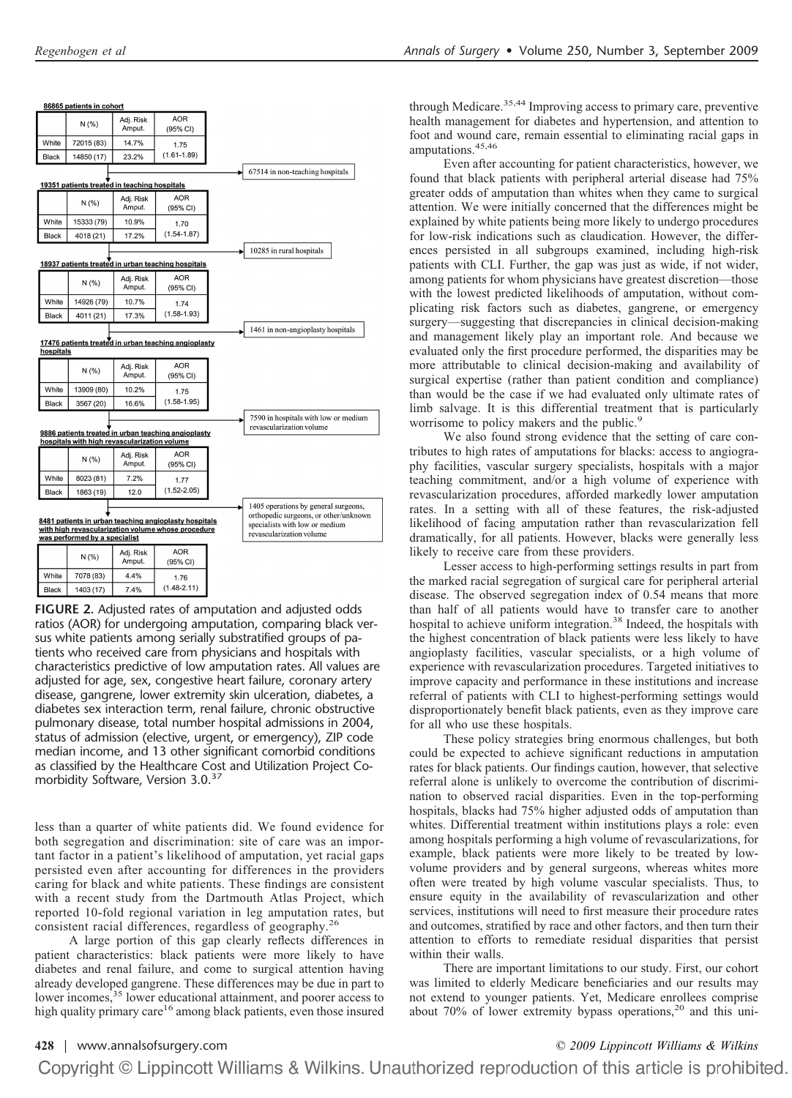

**FIGURE 2.** Adjusted rates of amputation and adjusted odds ratios (AOR) for undergoing amputation, comparing black versus white patients among serially substratified groups of patients who received care from physicians and hospitals with characteristics predictive of low amputation rates. All values are adjusted for age, sex, congestive heart failure, coronary artery disease, gangrene, lower extremity skin ulceration, diabetes, a diabetes sex interaction term, renal failure, chronic obstructive pulmonary disease, total number hospital admissions in 2004, status of admission (elective, urgent, or emergency), ZIP code median income, and 13 other significant comorbid conditions as classified by the Healthcare Cost and Utilization Project Comorbidity Software, Version 3.0.37

less than a quarter of white patients did. We found evidence for both segregation and discrimination: site of care was an important factor in a patient's likelihood of amputation, yet racial gaps persisted even after accounting for differences in the providers caring for black and white patients. These findings are consistent with a recent study from the Dartmouth Atlas Project, which reported 10-fold regional variation in leg amputation rates, but consistent racial differences, regardless of geography.<sup>26</sup>

A large portion of this gap clearly reflects differences in patient characteristics: black patients were more likely to have diabetes and renal failure, and come to surgical attention having already developed gangrene. These differences may be due in part to lower incomes,<sup>35</sup> lower educational attainment, and poorer access to high quality primary care<sup>16</sup> among black patients, even those insured through Medicare.<sup>35,44</sup> Improving access to primary care, preventive health management for diabetes and hypertension, and attention to foot and wound care, remain essential to eliminating racial gaps in amputations.<sup>45,46</sup>

Even after accounting for patient characteristics, however, we found that black patients with peripheral arterial disease had 75% greater odds of amputation than whites when they came to surgical attention. We were initially concerned that the differences might be explained by white patients being more likely to undergo procedures for low-risk indications such as claudication. However, the differences persisted in all subgroups examined, including high-risk patients with CLI. Further, the gap was just as wide, if not wider, among patients for whom physicians have greatest discretion—those with the lowest predicted likelihoods of amputation, without complicating risk factors such as diabetes, gangrene, or emergency surgery—suggesting that discrepancies in clinical decision-making and management likely play an important role. And because we evaluated only the first procedure performed, the disparities may be more attributable to clinical decision-making and availability of surgical expertise (rather than patient condition and compliance) than would be the case if we had evaluated only ultimate rates of limb salvage. It is this differential treatment that is particularly worrisome to policy makers and the public.<sup>9</sup>

We also found strong evidence that the setting of care contributes to high rates of amputations for blacks: access to angiography facilities, vascular surgery specialists, hospitals with a major teaching commitment, and/or a high volume of experience with revascularization procedures, afforded markedly lower amputation rates. In a setting with all of these features, the risk-adjusted likelihood of facing amputation rather than revascularization fell dramatically, for all patients. However, blacks were generally less likely to receive care from these providers.

Lesser access to high-performing settings results in part from the marked racial segregation of surgical care for peripheral arterial disease. The observed segregation index of 0.54 means that more than half of all patients would have to transfer care to another hospital to achieve uniform integration.<sup>38</sup> Indeed, the hospitals with the highest concentration of black patients were less likely to have angioplasty facilities, vascular specialists, or a high volume of experience with revascularization procedures. Targeted initiatives to improve capacity and performance in these institutions and increase referral of patients with CLI to highest-performing settings would disproportionately benefit black patients, even as they improve care for all who use these hospitals.

These policy strategies bring enormous challenges, but both could be expected to achieve significant reductions in amputation rates for black patients. Our findings caution, however, that selective referral alone is unlikely to overcome the contribution of discrimination to observed racial disparities. Even in the top-performing hospitals, blacks had 75% higher adjusted odds of amputation than whites. Differential treatment within institutions plays a role: even among hospitals performing a high volume of revascularizations, for example, black patients were more likely to be treated by lowvolume providers and by general surgeons, whereas whites more often were treated by high volume vascular specialists. Thus, to ensure equity in the availability of revascularization and other services, institutions will need to first measure their procedure rates and outcomes, stratified by race and other factors, and then turn their attention to efforts to remediate residual disparities that persist within their walls.

There are important limitations to our study. First, our cohort was limited to elderly Medicare beneficiaries and our results may not extend to younger patients. Yet, Medicare enrollees comprise about 70% of lower extremity bypass operations, $2^{\circ}$  and this uni-

## **428** | [www.annalsofsurgery.com](http://www.annalsofsurgery.com) *© 2009 Lippincott Williams & Wilkins*Copyright © Lippincott Williams & Wilkins. Unauthorized reproduction of this article is prohibited.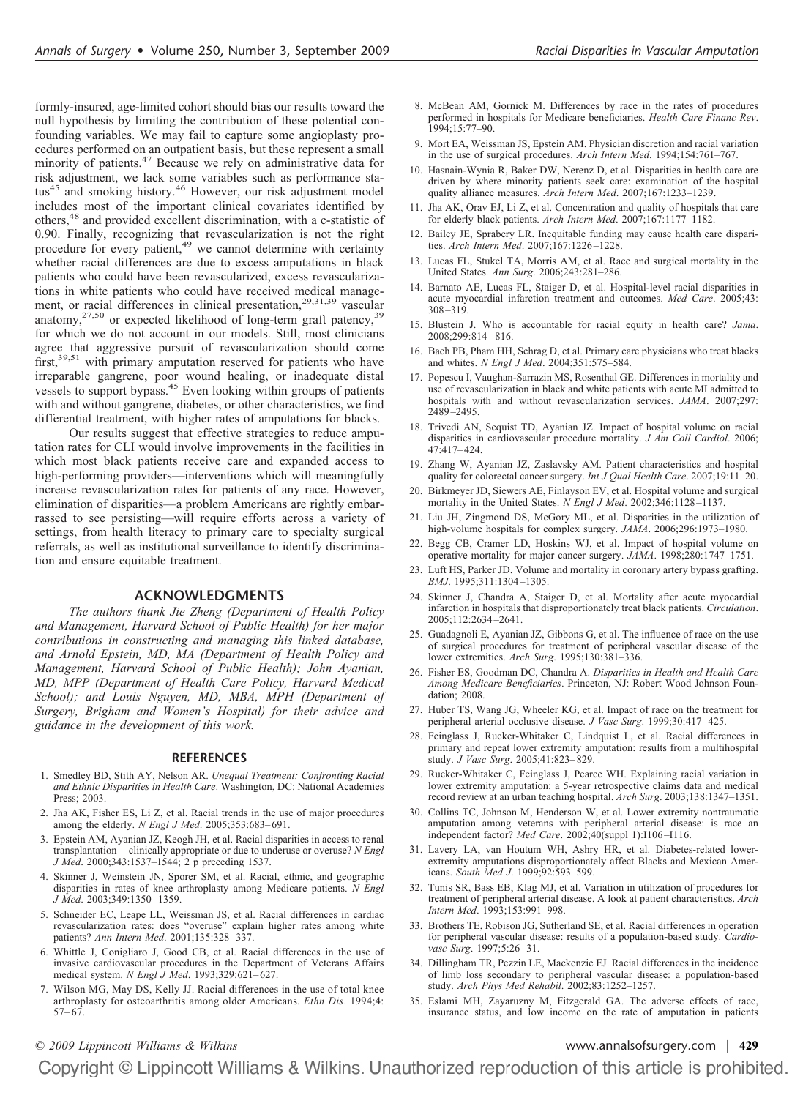formly-insured, age-limited cohort should bias our results toward the null hypothesis by limiting the contribution of these potential confounding variables. We may fail to capture some angioplasty procedures performed on an outpatient basis, but these represent a small minority of patients.47 Because we rely on administrative data for risk adjustment, we lack some variables such as performance status<sup>45</sup> and smoking history.<sup>46</sup> However, our risk adjustment model includes most of the important clinical covariates identified by others,48 and provided excellent discrimination, with a c-statistic of 0.90. Finally, recognizing that revascularization is not the right procedure for every patient,<sup>49</sup> we cannot determine with certainty whether racial differences are due to excess amputations in black patients who could have been revascularized, excess revascularizations in white patients who could have received medical management, or racial differences in clinical presentation,<sup>29,31,39</sup> vascular anatomy,<sup>27,50</sup> or expected likelihood of long-term graft patency,<sup>39</sup> for which we do not account in our models. Still, most clinicians agree that aggressive pursuit of revascularization should come first,<sup>39,51</sup> with primary amputation reserved for patients who have irreparable gangrene, poor wound healing, or inadequate distal vessels to support bypass.45 Even looking within groups of patients with and without gangrene, diabetes, or other characteristics, we find differential treatment, with higher rates of amputations for blacks.

Our results suggest that effective strategies to reduce amputation rates for CLI would involve improvements in the facilities in which most black patients receive care and expanded access to high-performing providers—interventions which will meaningfully increase revascularization rates for patients of any race. However, elimination of disparities—a problem Americans are rightly embarrassed to see persisting—will require efforts across a variety of settings, from health literacy to primary care to specialty surgical referrals, as well as institutional surveillance to identify discrimination and ensure equitable treatment.

#### **ACKNOWLEDGMENTS**

*The authors thank Jie Zheng (Department of Health Policy and Management, Harvard School of Public Health) for her major contributions in constructing and managing this linked database, and Arnold Epstein, MD, MA (Department of Health Policy and Management, Harvard School of Public Health); John Ayanian, MD, MPP (Department of Health Care Policy, Harvard Medical School); and Louis Nguyen, MD, MBA, MPH (Department of Surgery, Brigham and Women's Hospital) for their advice and guidance in the development of this work.*

#### **REFERENCES**

- 1. Smedley BD, Stith AY, Nelson AR. *Unequal Treatment: Confronting Racial and Ethnic Disparities in Health Care*. Washington, DC: National Academies Press; 2003.
- 2. Jha AK, Fisher ES, Li Z, et al. Racial trends in the use of major procedures among the elderly. *N Engl J Med*. 2005;353:683-691.
- 3. Epstein AM, Ayanian JZ, Keogh JH, et al. Racial disparities in access to renal transplantation— clinically appropriate or due to underuse or overuse? *N Engl J Med*. 2000;343:1537–1544; 2 p preceding 1537.
- 4. Skinner J, Weinstein JN, Sporer SM, et al. Racial, ethnic, and geographic disparities in rates of knee arthroplasty among Medicare patients. *N Engl J Med*. 2003;349:1350 –1359.
- 5. Schneider EC, Leape LL, Weissman JS, et al. Racial differences in cardiac revascularization rates: does "overuse" explain higher rates among white patients? *Ann Intern Med*. 2001;135:328 –337.
- 6. Whittle J, Conigliaro J, Good CB, et al. Racial differences in the use of invasive cardiovascular procedures in the Department of Veterans Affairs medical system. *N Engl J Med.* 1993;329:621-627.
- Wilson MG, May DS, Kelly JJ. Racial differences in the use of total knee arthroplasty for osteoarthritis among older Americans. *Ethn Dis*. 1994;4:  $57-67.$
- 8. McBean AM, Gornick M. Differences by race in the rates of procedures performed in hospitals for Medicare beneficiaries. *Health Care Financ Rev*. 1994;15:77–90.
- 9. Mort EA, Weissman JS, Epstein AM. Physician discretion and racial variation in the use of surgical procedures. *Arch Intern Med*. 1994;154:761–767.
- 10. Hasnain-Wynia R, Baker DW, Nerenz D, et al. Disparities in health care are driven by where minority patients seek care: examination of the hospital quality alliance measures. *Arch Intern Med*. 2007;167:1233–1239.
- 11. Jha AK, Orav EJ, Li Z, et al. Concentration and quality of hospitals that care for elderly black patients. *Arch Intern Med*. 2007;167:1177–1182.
- 12. Bailey JE, Sprabery LR. Inequitable funding may cause health care disparities. *Arch Intern Med.* 2007;167:1226-1228.
- 13. Lucas FL, Stukel TA, Morris AM, et al. Race and surgical mortality in the United States. *Ann Surg*. 2006;243:281–286.
- 14. Barnato AE, Lucas FL, Staiger D, et al. Hospital-level racial disparities in acute myocardial infarction treatment and outcomes. *Med Care*. 2005;43: 308 –319.
- 15. Blustein J. Who is accountable for racial equity in health care? *Jama*. 2008;299:814 – 816.
- 16. Bach PB, Pham HH, Schrag D, et al. Primary care physicians who treat blacks and whites. *N Engl J Med*. 2004;351:575–584.
- 17. Popescu I, Vaughan-Sarrazin MS, Rosenthal GE. Differences in mortality and use of revascularization in black and white patients with acute MI admitted to hospitals with and without revascularization services. *JAMA*. 2007;297: 2489 –2495.
- 18. Trivedi AN, Sequist TD, Ayanian JZ. Impact of hospital volume on racial disparities in cardiovascular procedure mortality. *J Am Coll Cardiol*. 2006; 47:417– 424.
- 19. Zhang W, Ayanian JZ, Zaslavsky AM. Patient characteristics and hospital quality for colorectal cancer surgery. *Int J Qual Health Care*. 2007;19:11–20.
- 20. Birkmeyer JD, Siewers AE, Finlayson EV, et al. Hospital volume and surgical mortality in the United States. *N Engl J Med*. 2002;346:1128-1137.
- 21. Liu JH, Zingmond DS, McGory ML, et al. Disparities in the utilization of high-volume hospitals for complex surgery. *JAMA*. 2006;296:1973–1980.
- 22. Begg CB, Cramer LD, Hoskins WJ, et al. Impact of hospital volume on operative mortality for major cancer surgery. *JAMA*. 1998;280:1747–1751.
- 23. Luft HS, Parker JD. Volume and mortality in coronary artery bypass grafting. *BMJ*. 1995;311:1304 –1305.
- 24. Skinner J, Chandra A, Staiger D, et al. Mortality after acute myocardial infarction in hospitals that disproportionately treat black patients. *Circulation*. 2005;112:2634 –2641.
- 25. Guadagnoli E, Ayanian JZ, Gibbons G, et al. The influence of race on the use of surgical procedures for treatment of peripheral vascular disease of the lower extremities. *Arch Surg*. 1995;130:381–336.
- 26. Fisher ES, Goodman DC, Chandra A. *Disparities in Health and Health Care Among Medicare Beneficiaries*. Princeton, NJ: Robert Wood Johnson Foundation; 2008.
- 27. Huber TS, Wang JG, Wheeler KG, et al. Impact of race on the treatment for peripheral arterial occlusive disease. *J Vasc Surg*. 1999;30:417– 425.
- 28. Feinglass J, Rucker-Whitaker C, Lindquist L, et al. Racial differences in primary and repeat lower extremity amputation: results from a multihospital study. *J Vasc Surg*. 2005;41:823– 829.
- 29. Rucker-Whitaker C, Feinglass J, Pearce WH. Explaining racial variation in lower extremity amputation: a 5-year retrospective claims data and medical record review at an urban teaching hospital. *Arch Surg*. 2003;138:1347–1351.
- 30. Collins TC, Johnson M, Henderson W, et al. Lower extremity nontraumatic amputation among veterans with peripheral arterial disease: is race an independent factor? *Med Care*. 2002;40(suppl 1):I106 –I116.
- 31. Lavery LA, van Houtum WH, Ashry HR, et al. Diabetes-related lowerextremity amputations disproportionately affect Blacks and Mexican Americans. *South Med J*. 1999;92:593–599.
- 32. Tunis SR, Bass EB, Klag MJ, et al. Variation in utilization of procedures for treatment of peripheral arterial disease. A look at patient characteristics. *Arch Intern Med*. 1993;153:991–998.
- 33. Brothers TE, Robison JG, Sutherland SE, et al. Racial differences in operation for peripheral vascular disease: results of a population-based study. *Cardiovasc Surg*. 1997;5:26 –31.
- 34. Dillingham TR, Pezzin LE, Mackenzie EJ. Racial differences in the incidence of limb loss secondary to peripheral vascular disease: a population-based study. *Arch Phys Med Rehabil*. 2002;83:1252–1257.
- 35. Eslami MH, Zayaruzny M, Fitzgerald GA. The adverse effects of race, insurance status, and low income on the rate of amputation in patients

#### *© 2009 Lippincott Williams & Wilkins* [www.annalsofsurgery.com](http://www.annalsofsurgery.com) | **429**

Copyright © Lippincott Williams & Wilkins. Unauthorized reproduction of this article is prohibited.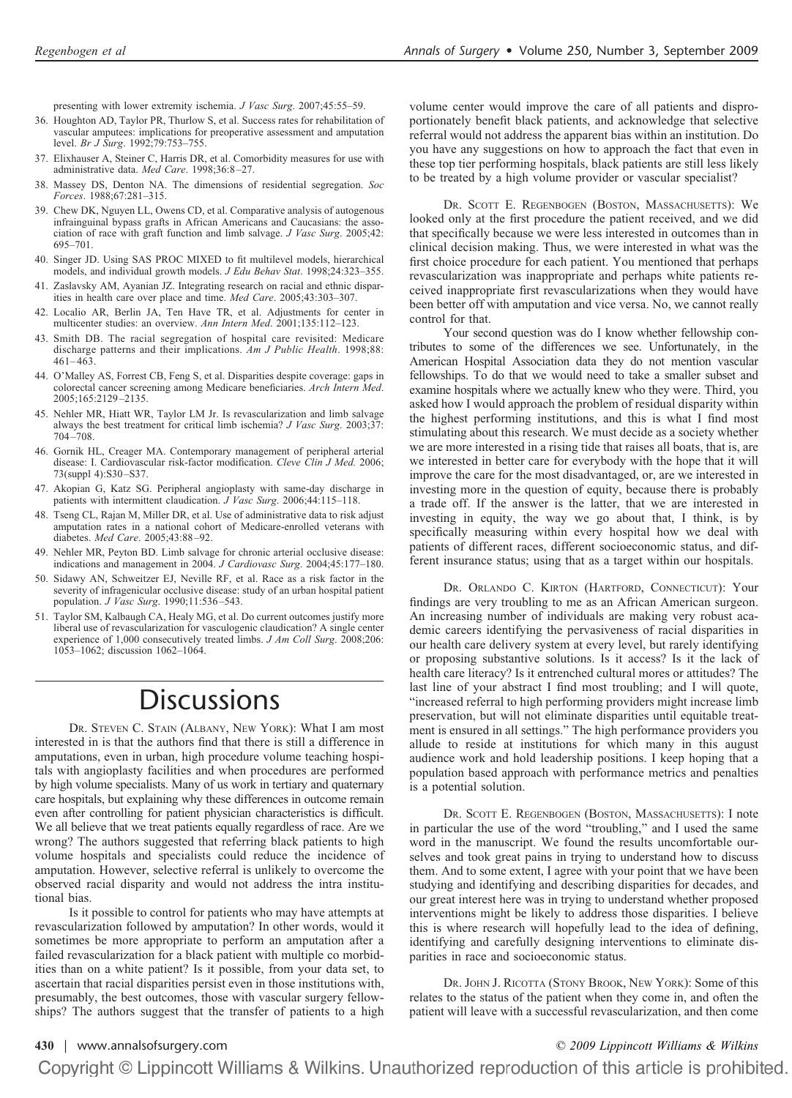presenting with lower extremity ischemia. *J Vasc Surg*. 2007;45:55–59.

- 36. Houghton AD, Taylor PR, Thurlow S, et al. Success rates for rehabilitation of vascular amputees: implications for preoperative assessment and amputation level. *Br J Surg*. 1992;79:753–755.
- 37. Elixhauser A, Steiner C, Harris DR, et al. Comorbidity measures for use with administrative data. *Med Care*. 1998;36:8 –27.
- 38. Massey DS, Denton NA. The dimensions of residential segregation. *Soc Forces*. 1988;67:281–315.
- 39. Chew DK, Nguyen LL, Owens CD, et al. Comparative analysis of autogenous infrainguinal bypass grafts in African Americans and Caucasians: the association of race with graft function and limb salvage. *J Vasc Surg*. 2005;42: 695–701.
- 40. Singer JD. Using SAS PROC MIXED to fit multilevel models, hierarchical models, and individual growth models. *J Edu Behav Stat*. 1998;24:323–355.
- 41. Zaslavsky AM, Ayanian JZ. Integrating research on racial and ethnic disparities in health care over place and time. *Med Care*. 2005;43:303–307.
- 42. Localio AR, Berlin JA, Ten Have TR, et al. Adjustments for center in multicenter studies: an overview. *Ann Intern Med*. 2001;135:112–123.
- 43. Smith DB. The racial segregation of hospital care revisited: Medicare discharge patterns and their implications. *Am J Public Health*. 1998;88:  $461 - 463.$
- 44. O'Malley AS, Forrest CB, Feng S, et al. Disparities despite coverage: gaps in colorectal cancer screening among Medicare beneficiaries. *Arch Intern Med*. 2005;165:2129 –2135.
- 45. Nehler MR, Hiatt WR, Taylor LM Jr. Is revascularization and limb salvage always the best treatment for critical limb ischemia? *J Vasc Surg*. 2003;37: 704 –708.
- 46. Gornik HL, Creager MA. Contemporary management of peripheral arterial disease: I. Cardiovascular risk-factor modification. *Cleve Clin J Med.* 2006; 73(suppl 4):S30 –S37.
- 47. Akopian G, Katz SG. Peripheral angioplasty with same-day discharge in patients with intermittent claudication. *J Vasc Surg*. 2006;44:115–118.
- 48. Tseng CL, Rajan M, Miller DR, et al. Use of administrative data to risk adjust amputation rates in a national cohort of Medicare-enrolled veterans with diabetes. *Med Care*. 2005;43:88 –92.
- 49. Nehler MR, Peyton BD. Limb salvage for chronic arterial occlusive disease: indications and management in 2004. *J Cardiovasc Surg*. 2004;45:177–180.
- 50. Sidawy AN, Schweitzer EJ, Neville RF, et al. Race as a risk factor in the severity of infragenicular occlusive disease: study of an urban hospital patient population. *J Vasc Surg*. 1990;11:536 –543.
- 51. Taylor SM, Kalbaugh CA, Healy MG, et al. Do current outcomes justify more liberal use of revascularization for vasculogenic claudication? A single center experience of 1,000 consecutively treated limbs. *J Am Coll Surg*. 2008;206: 1053–1062; discussion 1062–1064.

# **Discussions**

DR. STEVEN C. STAIN (ALBANY, NEW YORK): What I am most interested in is that the authors find that there is still a difference in amputations, even in urban, high procedure volume teaching hospitals with angioplasty facilities and when procedures are performed by high volume specialists. Many of us work in tertiary and quaternary care hospitals, but explaining why these differences in outcome remain even after controlling for patient physician characteristics is difficult. We all believe that we treat patients equally regardless of race. Are we wrong? The authors suggested that referring black patients to high volume hospitals and specialists could reduce the incidence of amputation. However, selective referral is unlikely to overcome the observed racial disparity and would not address the intra institutional bias.

Is it possible to control for patients who may have attempts at revascularization followed by amputation? In other words, would it sometimes be more appropriate to perform an amputation after a failed revascularization for a black patient with multiple co morbidities than on a white patient? Is it possible, from your data set, to ascertain that racial disparities persist even in those institutions with, presumably, the best outcomes, those with vascular surgery fellowships? The authors suggest that the transfer of patients to a high

volume center would improve the care of all patients and disproportionately benefit black patients, and acknowledge that selective referral would not address the apparent bias within an institution. Do you have any suggestions on how to approach the fact that even in these top tier performing hospitals, black patients are still less likely to be treated by a high volume provider or vascular specialist?

DR. SCOTT E. REGENBOGEN (BOSTON, MASSACHUSETTS): We looked only at the first procedure the patient received, and we did that specifically because we were less interested in outcomes than in clinical decision making. Thus, we were interested in what was the first choice procedure for each patient. You mentioned that perhaps revascularization was inappropriate and perhaps white patients received inappropriate first revascularizations when they would have been better off with amputation and vice versa. No, we cannot really control for that.

Your second question was do I know whether fellowship contributes to some of the differences we see. Unfortunately, in the American Hospital Association data they do not mention vascular fellowships. To do that we would need to take a smaller subset and examine hospitals where we actually knew who they were. Third, you asked how I would approach the problem of residual disparity within the highest performing institutions, and this is what I find most stimulating about this research. We must decide as a society whether we are more interested in a rising tide that raises all boats, that is, are we interested in better care for everybody with the hope that it will improve the care for the most disadvantaged, or, are we interested in investing more in the question of equity, because there is probably a trade off. If the answer is the latter, that we are interested in investing in equity, the way we go about that, I think, is by specifically measuring within every hospital how we deal with patients of different races, different socioeconomic status, and different insurance status; using that as a target within our hospitals.

DR. ORLANDO C. KIRTON (HARTFORD, CONNECTICUT): Your findings are very troubling to me as an African American surgeon. An increasing number of individuals are making very robust academic careers identifying the pervasiveness of racial disparities in our health care delivery system at every level, but rarely identifying or proposing substantive solutions. Is it access? Is it the lack of health care literacy? Is it entrenched cultural mores or attitudes? The last line of your abstract I find most troubling; and I will quote, "increased referral to high performing providers might increase limb preservation, but will not eliminate disparities until equitable treatment is ensured in all settings." The high performance providers you allude to reside at institutions for which many in this august audience work and hold leadership positions. I keep hoping that a population based approach with performance metrics and penalties is a potential solution.

DR. SCOTT E. REGENBOGEN (BOSTON, MASSACHUSETTS): I note in particular the use of the word "troubling," and I used the same word in the manuscript. We found the results uncomfortable ourselves and took great pains in trying to understand how to discuss them. And to some extent, I agree with your point that we have been studying and identifying and describing disparities for decades, and our great interest here was in trying to understand whether proposed interventions might be likely to address those disparities. I believe this is where research will hopefully lead to the idea of defining, identifying and carefully designing interventions to eliminate disparities in race and socioeconomic status.

DR. JOHN J. RICOTTA (STONY BROOK, NEW YORK): Some of this relates to the status of the patient when they come in, and often the patient will leave with a successful revascularization, and then come

**430** | [www.annalsofsurgery.com](http://www.annalsofsurgery.com) *© 2009 Lippincott Williams & Wilkins*Copyright © Lippincott Williams & Wilkins. Unauthorized reproduction of this article is prohibited.